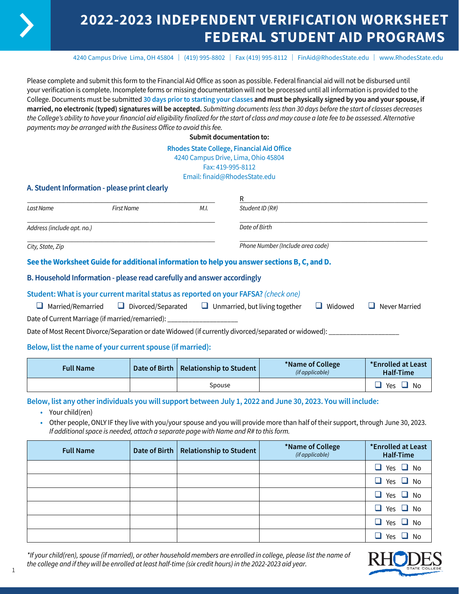# **2022-2023 INDEPENDENT VERIFICATION WORKSHEET FEDERAL STUDENT AID PROGRAMS**

4240 Campus Drive Lima, OH 45804 | (419) 995-8802 | Fax (419) 995-8112 | [FinAid@RhodesState.edu](mailto:FinAid@RhodesState.edu) | [www.RhodesState.edu](http://www.RhodesState.edu)

Please complete and submit this form to the Financial Aid Office as soon as possible. Federal financial aid will not be disbursed until your verification is complete. Incomplete forms or missing documentation will not be processed until all information is provided to the College. Documents must be submitted **30 days prior to starting your classes and must be physically signed by you and your spouse, if married, no electronic (typed) signatures will be accepted.** *Submitting documents less than 30 days before the start of classes decreases the College's ability to have your financial aid eligibility finalized for the start of class and may cause a late fee to be assessed. Alternative payments may be arranged with the Business Office to avoid this fee.*

**Submit documentation to:**

#### **Rhodes State College, Financial Aid Office**

4240 Campus Drive, Lima, Ohio 45804

Fax: 419-995-8112

Email: finaid@RhodesState.edu

## **A. Student Information - please print clearly**

|                            |            |      | R                                                                                           |  |
|----------------------------|------------|------|---------------------------------------------------------------------------------------------|--|
| Last Name                  | First Name | M.I. | Student ID (R#)                                                                             |  |
| Address (include apt. no.) |            |      | Date of Birth                                                                               |  |
| City, State, Zip           |            |      | Phone Number (Include area code)                                                            |  |
|                            |            |      | See the Worksheet Guide for additional information to help you answer sections B, C, and D. |  |

### **B. Household Information - please read carefully and answer accordingly**

### **Student: What is your current marital status as reported on your FAFSA?** *(check one)*

| $\Box$ Married/Remarried                         | $\Box$ Divorced/Separated | $\Box$ Unmarried, but living together | $\Box$ Widowed | $\Box$ Never Married |
|--------------------------------------------------|---------------------------|---------------------------------------|----------------|----------------------|
| Date of Current Marriage (if married/remarried): |                           |                                       |                |                      |

Date of Most Recent Divorce/Separation or date Widowed (if currently divorced/separated or widowed): \_

## **Below, list the name of your current spouse (if married):**

| <b>Full Name</b> | Date of Birth   Relationship to Student | *Name of College<br>(if applicable) | *Enrolled at Least<br>Half-Time |
|------------------|-----------------------------------------|-------------------------------------|---------------------------------|
|                  | Spouse                                  |                                     | Yes<br>No                       |

## **Below, list any other individuals you will support between July 1, 2022 and June 30, 2023. You will include:**

- **•** Your child(ren)
- **•** Other people, ONLY IF they live with you/your spouse and you will provide more than half of their support, through June 30, 2023. *If additional space is needed, attach a separate page with Name and R# to this form.*

| <b>Full Name</b> | Date of Birth   Relationship to Student | *Name of College<br>(if applicable) | *Enrolled at Least<br>Half-Time |
|------------------|-----------------------------------------|-------------------------------------|---------------------------------|
|                  |                                         |                                     | Yes $\Box$ No<br>$\Box$         |
|                  |                                         |                                     | Yes $\Box$ No<br>$\Box$         |
|                  |                                         |                                     | $\Box$ Yes $\Box$ No            |
|                  |                                         |                                     | $\Box$ Yes $\Box$ No            |
|                  |                                         |                                     | $\Box$ Yes $\Box$ No            |
|                  |                                         |                                     | П<br>Yes<br>No                  |

*\*If your child(ren), spouse (if married), or other household members are enrolled in college, please list the name of the college and if they will be enrolled at least half-time (six credit hours) in the 2022-2023 aid year.*

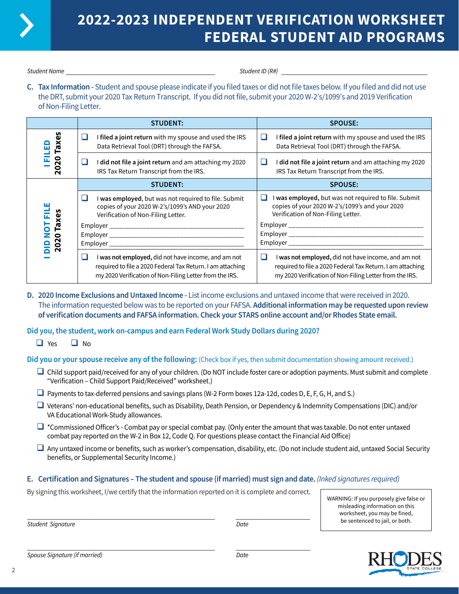

# **2022-2023 INDEPENDENT VERIFICATION WORKSHEET FEDERAL STUDENT AID PROGRAMS**

*Student Name* \_\_\_\_\_\_\_\_\_\_\_\_\_\_\_\_\_\_\_\_\_\_\_\_\_\_\_\_\_\_\_\_\_\_\_\_\_\_\_\_\_\_\_\_\_\_\_\_\_\_ *Student ID (R#)* \_\_\_\_\_\_\_\_\_\_\_\_\_\_\_\_\_\_\_\_\_\_\_\_\_\_\_\_\_\_\_\_\_\_\_\_\_\_\_\_\_\_\_\_\_\_\_\_\_

**C. Tax Information -** Student and spouse please indicate if you filed taxes or did not file taxes below. If you filed and did not use the DRT, submit your 2020 Tax Return Transcript. If you did not file, submit your 2020 W-2's/1099's and 2019 Verification of Non-Filing Letter.

|                     | <b>STUDENT:</b>                                                                                                                                                                   | <b>SPOUSE:</b>                                                                                                                                                                    |
|---------------------|-----------------------------------------------------------------------------------------------------------------------------------------------------------------------------------|-----------------------------------------------------------------------------------------------------------------------------------------------------------------------------------|
| Taxe:               | I filed a joint return with my spouse and used the IRS<br>ш<br>Data Retrieval Tool (DRT) through the FAFSA.                                                                       | I filed a joint return with my spouse and used the IRS<br>ш<br>Data Retrieval Tool (DRT) through the FAFSA.                                                                       |
| $\overline{2}$<br>ន | I did not file a joint return and am attaching my 2020<br>⊔<br>IRS Tax Return Transcript from the IRS.                                                                            | did not file a joint return and am attaching my 2020<br>ப<br>IRS Tax Return Transcript from the IRS.                                                                              |
|                     | <b>STUDENT:</b>                                                                                                                                                                   | <b>SPOUSE:</b>                                                                                                                                                                    |
| Ē                   | I was employed, but was not required to file. Submit<br>copies of your 2020 W-2's/1099's AND your 2020<br>Verification of Non-Filing Letter.                                      | I was employed, but was not required to file. Submit<br>ш<br>copies of your 2020 W-2's/1099's and your 2020<br>Verification of Non-Filing Letter.                                 |
| Taxes<br>5          |                                                                                                                                                                                   |                                                                                                                                                                                   |
| 2020                |                                                                                                                                                                                   |                                                                                                                                                                                   |
|                     | I was not employed, did not have income, and am not<br>ப<br>required to file a 2020 Federal Tax Return. I am attaching<br>my 2020 Verification of Non-Filing Letter from the IRS. | □<br>I was not employed, did not have income, and am not<br>required to file a 2020 Federal Tax Return. I am attaching<br>my 2020 Verification of Non-Filing Letter from the IRS. |

**D. 2020 Income Exclusions and Untaxed Income -** List income exclusions and untaxed income that were received in 2020. The information requested below was to be reported on your FAFSA. **Additional information may be requested upon review of verification documents and FAFSA information. Check your STARS online account and/or Rhodes State email.**

**Did you, the student, work on-campus and earn Federal Work Study Dollars during 2020?**

 $\Box$  Yes  $\Box$  No

**Did you or your spouse receive any of the following:** (Check box if yes, then submit documentation showing amount received.)

- $\Box$  Child support paid/received for any of your children. (Do NOT include foster care or adoption payments. Must submit and complete "Verification – Child Support Paid/Received" worksheet.)
- $\Box$  Payments to tax-deferred pensions and savings plans (W-2 Form boxes 12a-12d, codes D, E, F, G, H, and S.)
- $\Box$  Veterans' non-educational benefits, such as Disability, Death Pension, or Dependency & Indemnity Compensations (DIC) and/or VA Educational Work-Study allowances.
- $\Box$  \*Commissioned Officer's Combat pay or special combat pay. (Only enter the amount that was taxable. Do not enter untaxed combat pay reported on the W-2 in Box 12, Code Q. For questions please contact the Financial Aid Office)
- $\Box$  Any untaxed income or benefits, such as worker's compensation, disability, etc. (Do not include student aid, untaxed Social Security benefits, or Supplemental Security Income.)

# **E. Certification and Signatures – The student and spouse (if married) must sign and date.** *(Inked signatures required)*

By signing this worksheet, I/we certify that the information reported on it is complete and correct.

WARNING: If you purposely give false or misleading information on this worksheet, you may be fined, be sentenced to jail, or both.

\_\_\_\_\_\_\_\_\_\_\_\_\_\_\_\_\_\_\_\_\_\_\_\_\_\_\_\_\_\_\_\_\_\_\_\_\_\_\_\_\_\_\_\_\_\_\_\_\_\_\_\_\_\_\_\_\_\_\_\_\_\_\_ \_\_\_\_\_\_\_\_\_\_\_\_\_\_\_\_\_\_\_\_\_\_\_\_\_ *Student Signature Date*

*Spouse Signature (if married) Date*

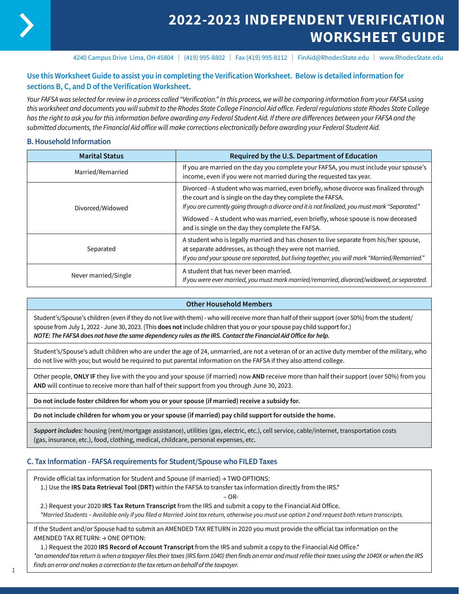

# **2022-2023 INDEPENDENT VERIFICATION WORKSHEET GUIDE**

4240 Campus Drive Lima, OH 45804 | (419) 995-8802 | Fax (419) 995-8112 | FinAid@RhodesState.edu | www.RhodesState.edu

# **Use this Worksheet Guide to assist you in completing the Verification Worksheet. Below is detailed information for sections B, C, and D of the Verification Worksheet.**

*Your FAFSA was selected for review in a process called "Verification." In this process, we will be comparing information from your FAFSA using this worksheet and documents you will submit to the Rhodes State College Financial Aid office. Federal regulations state Rhodes State College has the right to ask you for this information before awarding any Federal Student Aid. If there are differences between your FAFSA and the submitted documents, the Financial Aid office will make corrections electronically before awarding your Federal Student Aid.*

## **B. Household Information**

| <b>Marital Status</b> | Required by the U.S. Department of Education                                                                                                                                                                                                                                                                                                  |
|-----------------------|-----------------------------------------------------------------------------------------------------------------------------------------------------------------------------------------------------------------------------------------------------------------------------------------------------------------------------------------------|
| Married/Remarried     | If you are married on the day you complete your FAFSA, you must include your spouse's<br>income, even if you were not married during the requested tax year.                                                                                                                                                                                  |
| Divorced/Widowed      | Divorced - A student who was married, even briefly, whose divorce was finalized through<br>the court and is single on the day they complete the FAFSA.<br>If you are currently going through a divorce and it is not finalized, you must mark "Separated."<br>Widowed - A student who was married, even briefly, whose spouse is now deceased |
|                       | and is single on the day they complete the FAFSA.                                                                                                                                                                                                                                                                                             |
| Separated             | A student who is legally married and has chosen to live separate from his/her spouse,<br>at separate addresses, as though they were not married.<br>If you and your spouse are separated, but living together, you will mark "Married/Remarried."                                                                                             |
| Never married/Single  | A student that has never been married.<br>If you were ever married, you must mark married/remarried, divorced/widowed, or separated.                                                                                                                                                                                                          |

#### **Other Household Members**

Student's/Spouse's children (even if they do not live with them) - who will receive more than half of their support (over 50%) from the student/ spouse from July 1, 2022 - June 30, 2023. (This **does not** include children that you or your spouse pay child support for.) *NOTE: The FAFSA does not have the same dependency rules as the IRS. Contact the Financial Aid Office for help.*

Student's/Spouse's adult children who are under the age of 24, unmarried, are not a veteran of or an active duty member of the military, who do not live with you; but would be required to put parental information on the FAFSA if they also attend college.

Other people, **ONLY IF** they live with the you and your spouse (if married) now **AND** receive more than half their support (over 50%) from you **AND** will continue to receive more than half of their support from you through June 30, 2023.

**Do not include foster children for whom you or your spouse (if married) receive a subsidy for.**

**Do not include children for whom you or your spouse (if married) pay child support for outside the home.**

*Support includes:* housing (rent/mortgage assistance), utilities (gas, electric, etc.), cell service, cable/internet, transportation costs (gas, insurance, etc.), food, clothing, medical, childcare, personal expenses, etc.

## **C. Tax Information - FAFSA requirements for Student/Spouse who FILED Taxes**

Provide official tax information for Student and Spouse (if married) → TWO OPTIONS:

1.) Use the **IRS Data Retrieval Tool (DRT)** within the FAFSA to transfer tax information directly from the IRS.\*

– OR-

2.) Request your 2020 **IRS Tax Return Transcript** from the IRS and submit a copy to the Financial Aid Office.

*\*Married Students – Available only if you filed a Married Joint tax return, otherwise you must use option 2 and request both return transcripts.* 

If the Student and/or Spouse had to submit an AMENDED TAX RETURN in 2020 you must provide the official tax information on the AMENDED TAX RETURN: → ONE OPTION:

1.) Request the 2020 **IRS Record of Account Transcript** from the IRS and submit a copy to the Financial Aid Office.\*

*\*an amended tax return is when a taxpayer files their taxes (IRS form 1040) then finds an error and must refile their taxes using the 1040X or when the IRS finds an error and makes a correction to the tax return on behalf of the taxpayer.*